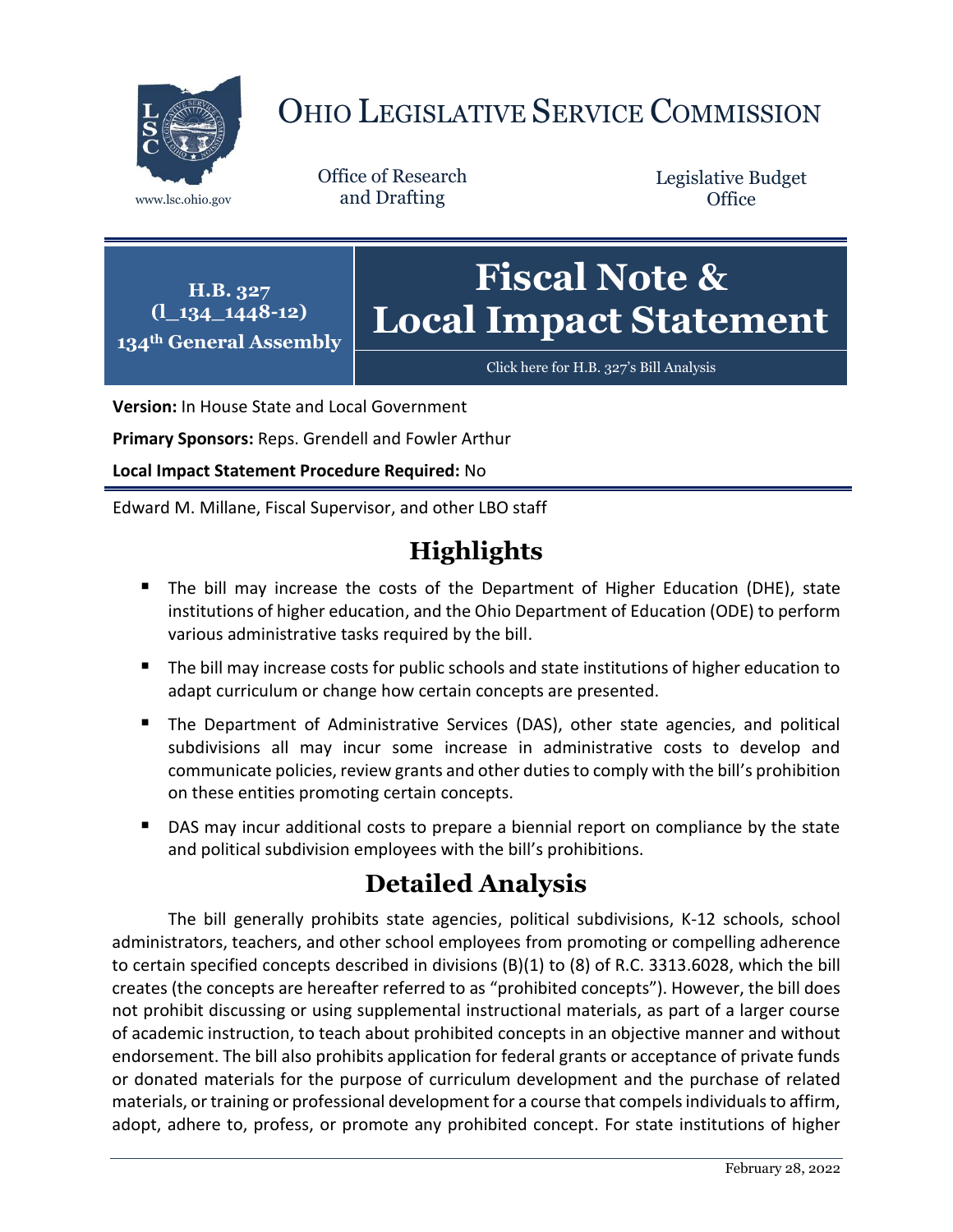

# OHIO LEGISLATIVE SERVICE COMMISSION

Office of Research www.lsc.ohio.gov and Drafting

Legislative Budget **Office** 

**H.B. 327 (l\_134\_1448-12) 134th General Assembly Fiscal Note & Local Impact Statement**

[Click here for H.B. 327](https://www.legislature.ohio.gov/legislation/legislation-documents?id=GA134-HB-327)'s Bill Analysis

**Version:** In House State and Local Government

**Primary Sponsors:** Reps. Grendell and Fowler Arthur

**Local Impact Statement Procedure Required:** No

Edward M. Millane, Fiscal Supervisor, and other LBO staff

# **Highlights**

- The bill may increase the costs of the Department of Higher Education (DHE), state institutions of higher education, and the Ohio Department of Education (ODE) to perform various administrative tasks required by the bill.
- The bill may increase costs for public schools and state institutions of higher education to adapt curriculum or change how certain concepts are presented.
- The Department of Administrative Services (DAS), other state agencies, and political subdivisions all may incur some increase in administrative costs to develop and communicate policies, review grants and other duties to comply with the bill's prohibition on these entities promoting certain concepts.
- **DAS may incur additional costs to prepare a biennial report on compliance by the state** and political subdivision employees with the bill's prohibitions.

## **Detailed Analysis**

The bill generally prohibits state agencies, political subdivisions, K-12 schools, school administrators, teachers, and other school employees from promoting or compelling adherence to certain specified concepts described in divisions (B)(1) to (8) of R.C. 3313.6028, which the bill creates (the concepts are hereafter referred to as "prohibited concepts"). However, the bill does not prohibit discussing or using supplemental instructional materials, as part of a larger course of academic instruction, to teach about prohibited concepts in an objective manner and without endorsement. The bill also prohibits application for federal grants or acceptance of private funds or donated materials for the purpose of curriculum development and the purchase of related materials, or training or professional development for a course that compels individuals to affirm, adopt, adhere to, profess, or promote any prohibited concept. For state institutions of higher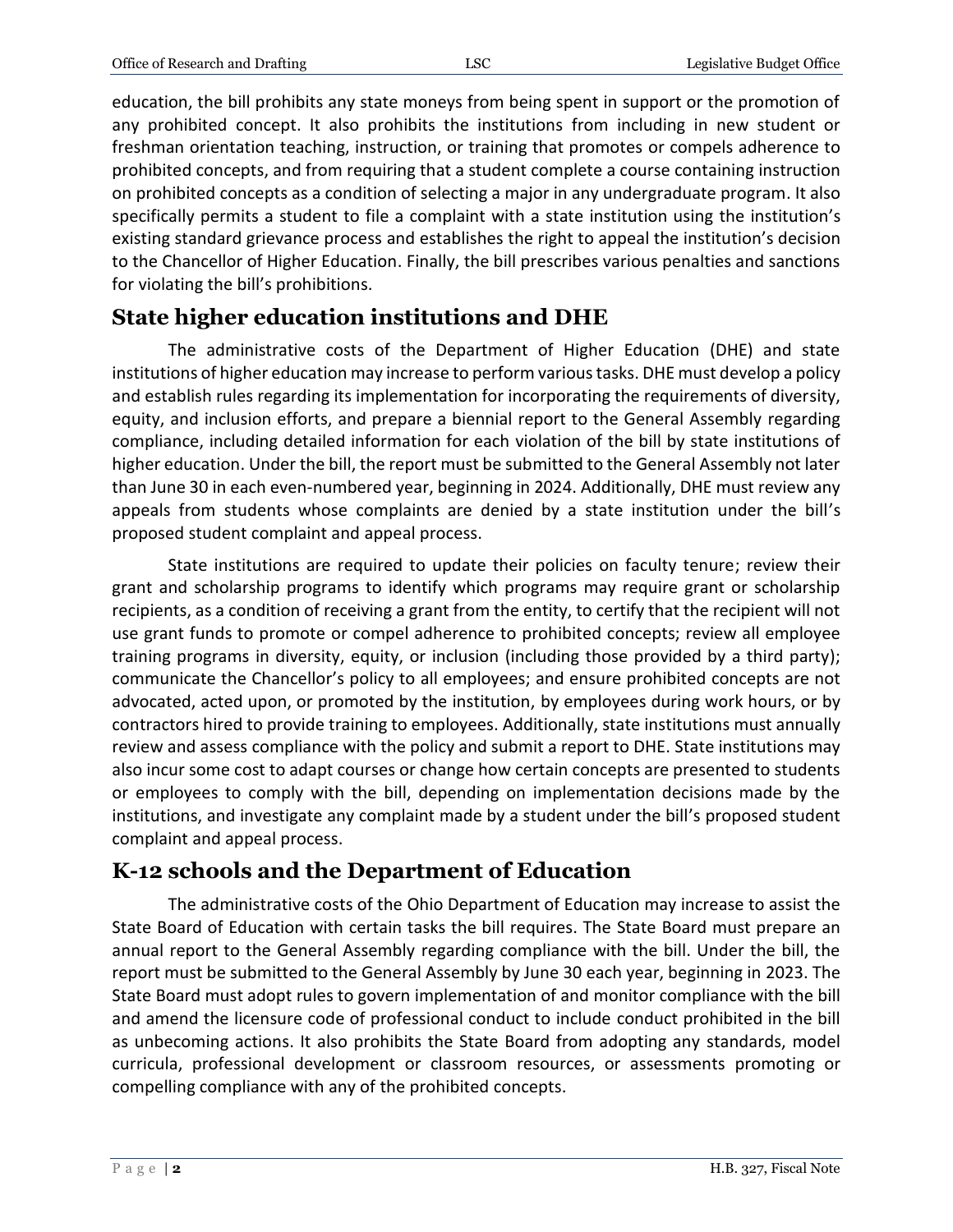education, the bill prohibits any state moneys from being spent in support or the promotion of any prohibited concept. It also prohibits the institutions from including in new student or freshman orientation teaching, instruction, or training that promotes or compels adherence to prohibited concepts, and from requiring that a student complete a course containing instruction on prohibited concepts as a condition of selecting a major in any undergraduate program. It also specifically permits a student to file a complaint with a state institution using the institution's existing standard grievance process and establishes the right to appeal the institution's decision to the Chancellor of Higher Education. Finally, the bill prescribes various penalties and sanctions for violating the bill's prohibitions.

#### **State higher education institutions and DHE**

The administrative costs of the Department of Higher Education (DHE) and state institutions of higher education may increase to perform various tasks. DHE must develop a policy and establish rules regarding its implementation for incorporating the requirements of diversity, equity, and inclusion efforts, and prepare a biennial report to the General Assembly regarding compliance, including detailed information for each violation of the bill by state institutions of higher education. Under the bill, the report must be submitted to the General Assembly not later than June 30 in each even-numbered year, beginning in 2024. Additionally, DHE must review any appeals from students whose complaints are denied by a state institution under the bill's proposed student complaint and appeal process.

State institutions are required to update their policies on faculty tenure; review their grant and scholarship programs to identify which programs may require grant or scholarship recipients, as a condition of receiving a grant from the entity, to certify that the recipient will not use grant funds to promote or compel adherence to prohibited concepts; review all employee training programs in diversity, equity, or inclusion (including those provided by a third party); communicate the Chancellor's policy to all employees; and ensure prohibited concepts are not advocated, acted upon, or promoted by the institution, by employees during work hours, or by contractors hired to provide training to employees. Additionally, state institutions must annually review and assess compliance with the policy and submit a report to DHE. State institutions may also incur some cost to adapt courses or change how certain concepts are presented to students or employees to comply with the bill, depending on implementation decisions made by the institutions, and investigate any complaint made by a student under the bill's proposed student complaint and appeal process.

#### **K-12 schools and the Department of Education**

The administrative costs of the Ohio Department of Education may increase to assist the State Board of Education with certain tasks the bill requires. The State Board must prepare an annual report to the General Assembly regarding compliance with the bill. Under the bill, the report must be submitted to the General Assembly by June 30 each year, beginning in 2023. The State Board must adopt rules to govern implementation of and monitor compliance with the bill and amend the licensure code of professional conduct to include conduct prohibited in the bill as unbecoming actions. It also prohibits the State Board from adopting any standards, model curricula, professional development or classroom resources, or assessments promoting or compelling compliance with any of the prohibited concepts.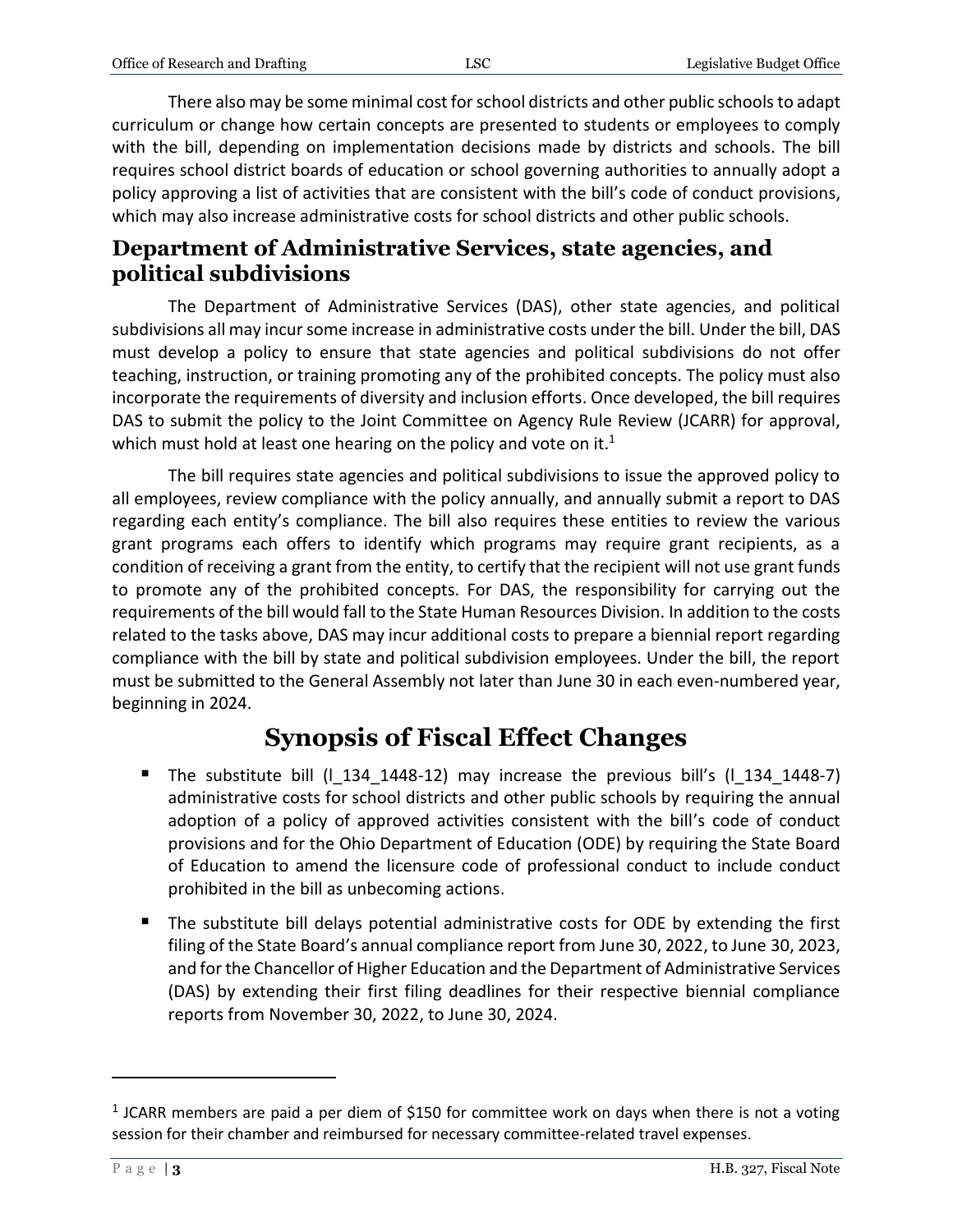There also may be some minimal cost for school districts and other public schoolsto adapt curriculum or change how certain concepts are presented to students or employees to comply with the bill, depending on implementation decisions made by districts and schools. The bill requires school district boards of education or school governing authorities to annually adopt a policy approving a list of activities that are consistent with the bill's code of conduct provisions, which may also increase administrative costs for school districts and other public schools.

#### **Department of Administrative Services, state agencies, and political subdivisions**

The Department of Administrative Services (DAS), other state agencies, and political subdivisions all may incur some increase in administrative costs under the bill. Under the bill, DAS must develop a policy to ensure that state agencies and political subdivisions do not offer teaching, instruction, or training promoting any of the prohibited concepts. The policy must also incorporate the requirements of diversity and inclusion efforts. Once developed, the bill requires DAS to submit the policy to the Joint Committee on Agency Rule Review (JCARR) for approval, which must hold at least one hearing on the policy and vote on it.<sup>1</sup>

The bill requires state agencies and political subdivisions to issue the approved policy to all employees, review compliance with the policy annually, and annually submit a report to DAS regarding each entity's compliance. The bill also requires these entities to review the various grant programs each offers to identify which programs may require grant recipients, as a condition of receiving a grant from the entity, to certify that the recipient will not use grant funds to promote any of the prohibited concepts. For DAS, the responsibility for carrying out the requirements of the bill would fall to the State Human Resources Division. In addition to the costs related to the tasks above, DAS may incur additional costs to prepare a biennial report regarding compliance with the bill by state and political subdivision employees. Under the bill, the report must be submitted to the General Assembly not later than June 30 in each even-numbered year, beginning in 2024.

## **Synopsis of Fiscal Effect Changes**

- The substitute bill  $(I_134_1448-12)$  may increase the previous bill's  $(I_134_1448-7)$ administrative costs for school districts and other public schools by requiring the annual adoption of a policy of approved activities consistent with the bill's code of conduct provisions and for the Ohio Department of Education (ODE) by requiring the State Board of Education to amend the licensure code of professional conduct to include conduct prohibited in the bill as unbecoming actions.
- The substitute bill delays potential administrative costs for ODE by extending the first filing of the State Board's annual compliance report from June 30, 2022, to June 30, 2023, and for the Chancellor of Higher Education and the Department of Administrative Services (DAS) by extending their first filing deadlines for their respective biennial compliance reports from November 30, 2022, to June 30, 2024.

 $\overline{a}$ 

<sup>&</sup>lt;sup>1</sup> JCARR members are paid a per diem of \$150 for committee work on days when there is not a voting session for their chamber and reimbursed for necessary committee-related travel expenses.